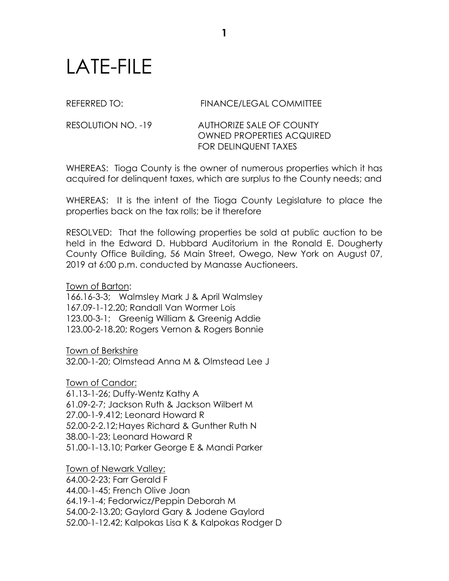## LATE-FILE

## REFERRED TO: FINANCE/LEGAL COMMITTEE

RESOLUTION NO. -19 AUTHORIZE SALE OF COUNTY OWNED PROPERTIES ACQUIRED FOR DELINQUENT TAXES

WHEREAS: Tioga County is the owner of numerous properties which it has acquired for delinquent taxes, which are surplus to the County needs; and

WHEREAS: It is the intent of the Tioga County Legislature to place the properties back on the tax rolls; be it therefore

RESOLVED: That the following properties be sold at public auction to be held in the Edward D. Hubbard Auditorium in the Ronald E. Dougherty County Office Building, 56 Main Street, Owego, New York on August 07, 2019 at 6:00 p.m. conducted by Manasse Auctioneers.

Town of Barton:

166.16-3-3; Walmsley Mark J & April Walmsley 167.09-1-12.20; Randall Van Wormer Lois 123.00-3-1; Greenig William & Greenig Addie 123.00-2-18.20; Rogers Vernon & Rogers Bonnie

Town of Berkshire

32.00-1-20; Olmstead Anna M & Olmstead Lee J

Town of Candor: 61.13-1-26; Duffy-Wentz Kathy A 61.09-2-7; Jackson Ruth & Jackson Wilbert M 27.00-1-9.412; Leonard Howard R 52.00-2-2.12;Hayes Richard & Gunther Ruth N 38.00-1-23; Leonard Howard R 51.00-1-13.10; Parker George E & Mandi Parker

Town of Newark Valley: 64.00-2-23; Farr Gerald F 44.00-1-45; French Olive Joan 64.19-1-4; Fedorwicz/Peppin Deborah M 54.00-2-13.20; Gaylord Gary & Jodene Gaylord 52.00-1-12.42; Kalpokas Lisa K & Kalpokas Rodger D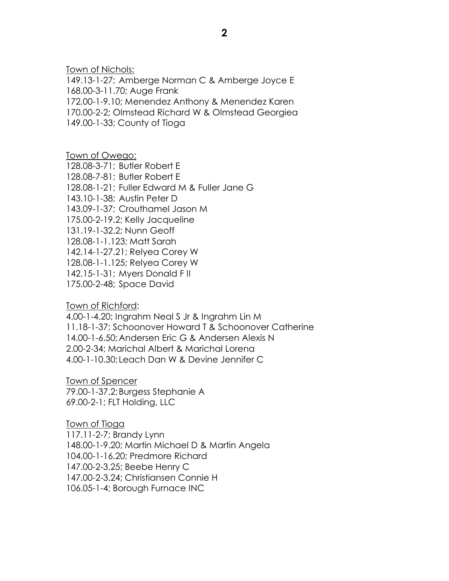Town of Nichols:

149.13-1-27; Amberge Norman C & Amberge Joyce E 168.00-3-11.70; Auge Frank 172.00-1-9.10; Menendez Anthony & Menendez Karen 170.00-2-2; Olmstead Richard W & Olmstead Georgiea 149.00-1-33; County of Tioga

Town of Owego: 128.08-3-71; Butler Robert E 128.08-7-81; Butler Robert E 128.08-1-21; Fuller Edward M & Fuller Jane G 143.10-1-38; Austin Peter D 143.09-1-37; Crouthamel Jason M 175.00-2-19.2; Kelly Jacqueline 131.19-1-32.2; Nunn Geoff 128.08-1-1.123; Matt Sarah 142.14-1-27.21; Relyea Corey W 128.08-1-1.125; Relyea Corey W 142.15-1-31; Myers Donald F II 175.00-2-48; Space David

Town of Richford:

4.00-1-4.20; Ingrahm Neal S Jr & Ingrahm Lin M 11.18-1-37; Schoonover Howard T & Schoonover Catherine 14.00-1-6.50;Andersen Eric G & Andersen Alexis N 2.00-2-34; Marichal Albert & Marichal Lorena 4.00-1-10.30; Leach Dan W & Devine Jennifer C

Town of Spencer 79.00-1-37.2;Burgess Stephanie A 69.00-2-1; FLT Holding, LLC

Town of Tioga 117.11-2-7; Brandy Lynn 148.00-1-9.20; Martin Michael D & Martin Angela 104.00-1-16.20; Predmore Richard 147.00-2-3.25; Beebe Henry C 147.00-2-3.24; Christiansen Connie H 106.05-1-4; Borough Furnace INC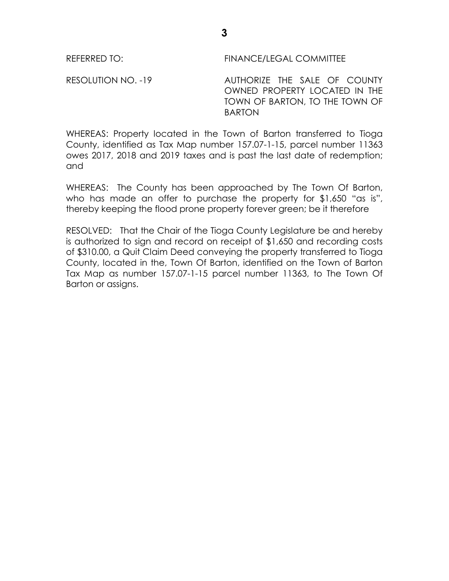RESOLUTION NO. -19 AUTHORIZE THE SALE OF COUNTY OWNED PROPERTY LOCATED IN THE TOWN OF BARTON, TO THE TOWN OF BARTON

WHEREAS: Property located in the Town of Barton transferred to Tioga County, identified as Tax Map number 157.07-1-15, parcel number 11363 owes 2017, 2018 and 2019 taxes and is past the last date of redemption; and

WHEREAS: The County has been approached by The Town Of Barton, who has made an offer to purchase the property for \$1,650 "as is", thereby keeping the flood prone property forever green; be it therefore

RESOLVED: That the Chair of the Tioga County Legislature be and hereby is authorized to sign and record on receipt of \$1,650 and recording costs of \$310.00, a Quit Claim Deed conveying the property transferred to Tioga County, located in the, Town Of Barton, identified on the Town of Barton Tax Map as number 157.07-1-15 parcel number 11363, to The Town Of Barton or assigns.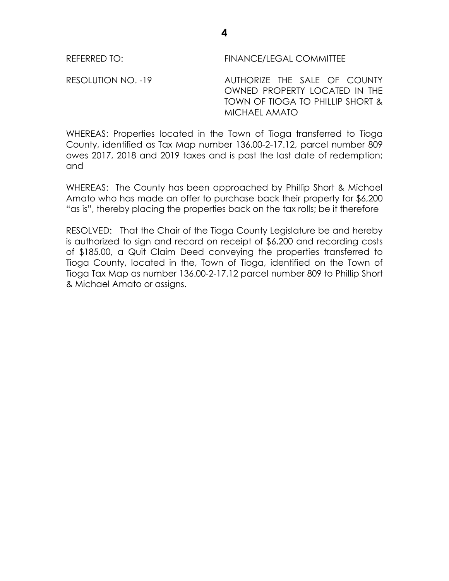RESOLUTION NO. -19 AUTHORIZE THE SALE OF COUNTY OWNED PROPERTY LOCATED IN THE TOWN OF TIOGA TO PHILLIP SHORT & MICHAEL AMATO

WHEREAS: Properties located in the Town of Tioga transferred to Tioga County, identified as Tax Map number 136.00-2-17.12, parcel number 809 owes 2017, 2018 and 2019 taxes and is past the last date of redemption; and

WHEREAS: The County has been approached by Phillip Short & Michael Amato who has made an offer to purchase back their property for \$6,200 "as is", thereby placing the properties back on the tax rolls; be it therefore

RESOLVED: That the Chair of the Tioga County Legislature be and hereby is authorized to sign and record on receipt of \$6,200 and recording costs of \$185.00, a Quit Claim Deed conveying the properties transferred to Tioga County, located in the, Town of Tioga, identified on the Town of Tioga Tax Map as number 136.00-2-17.12 parcel number 809 to Phillip Short & Michael Amato or assigns.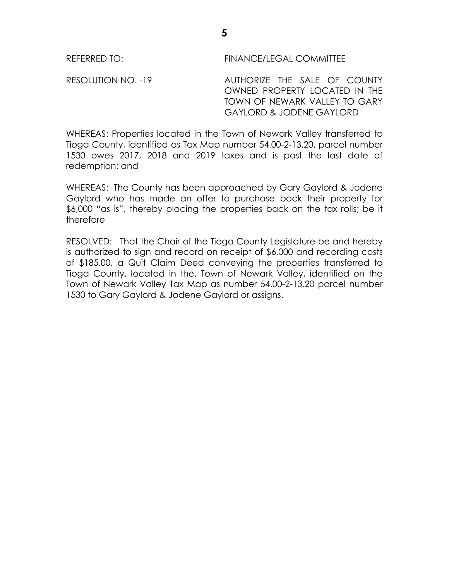RESOLUTION NO. -19 AUTHORIZE THE SALE OF COUNTY OWNED PROPERTY LOCATED IN THE TOWN OF NEWARK VALLEY TO GARY GAYLORD & JODENE GAYLORD

WHEREAS: Properties located in the Town of Newark Valley transferred to Tioga County, identified as Tax Map number 54.00-2-13.20, parcel number 1530 owes 2017, 2018 and 2019 taxes and is past the last date of redemption; and

WHEREAS: The County has been approached by Gary Gaylord & Jodene Gaylord who has made an offer to purchase back their property for \$6,000 "as is", thereby placing the properties back on the tax rolls; be it therefore

RESOLVED: That the Chair of the Tioga County Legislature be and hereby is authorized to sign and record on receipt of \$6,000 and recording costs of \$185.00, a Quit Claim Deed conveying the properties transferred to Tioga County, located in the, Town of Newark Valley, identified on the Town of Newark Valley Tax Map as number 54.00-2-13.20 parcel number 1530 to Gary Gaylord & Jodene Gaylord or assigns.